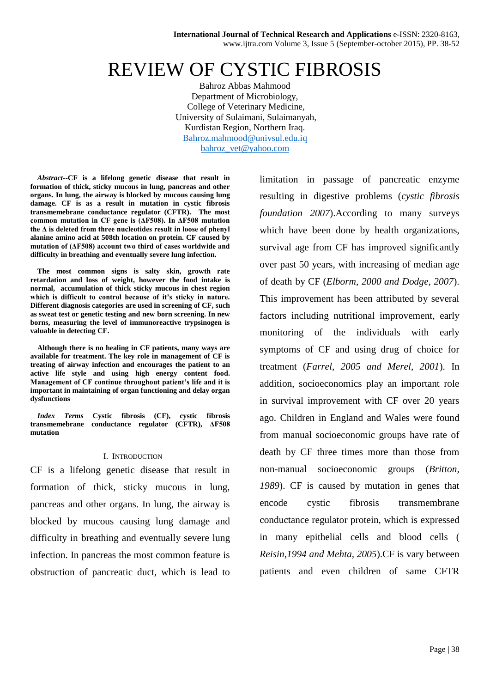# REVIEW OF CYSTIC FIBROSIS

Bahroz Abbas Mahmood Department of Microbiology, College of Veterinary Medicine, University of Sulaimani, Sulaimanyah, Kurdistan Region, Northern Iraq. [Bahroz.mahmood@univsul.edu.iq](mailto:Bahroz.mahmood@univsul.edu.iq) [bahroz\\_vet@yahoo.com](mailto:bahroz_vet@yahoo.com)

*Abstract***--CF is a lifelong genetic disease that result in formation of thick, sticky mucous in lung, pancreas and other organs. In lung, the airway is blocked by mucous causing lung damage. CF is as a result in mutation in cystic fibrosis transmemebrane conductance regulator (CFTR). The most common mutation in CF gene is (ΔF508). In ΔF508 mutation the Δ is deleted from three nucleotides result in loose of phenyl alanine amino acid at 508th location on protein. CF caused by mutation of (ΔF508) account two third of cases worldwide and difficulty in breathing and eventually severe lung infection.**

**The most common signs is salty skin, growth rate retardation and loss of weight, however the food intake is normal, accumulation of thick sticky mucous in chest region which is difficult to control because of it's sticky in nature. Different diagnosis categories are used in screening of CF, such as sweat test or genetic testing and new born screening. In new borns, measuring the level of immunoreactive trypsinogen is valuable in detecting CF.**

**Although there is no healing in CF patients, many ways are available for treatment. The key role in management of CF is treating of airway infection and encourages the patient to an active life style and using high energy content food. Management of CF continue throughout patient's life and it is important in maintaining of organ functioning and delay organ dysfunctions**

*Index Terms* **Cystic fibrosis (CF), cystic fibrosis transmemebrane conductance regulator (CFTR), ΔF508 mutation**

#### I. INTRODUCTION

CF is a lifelong genetic disease that result in formation of thick, sticky mucous in lung, pancreas and other organs. In lung, the airway is blocked by mucous causing lung damage and difficulty in breathing and eventually severe lung infection. In pancreas the most common feature is obstruction of pancreatic duct, which is lead to

limitation in passage of pancreatic enzyme resulting in digestive problems (*cystic fibrosis foundation 2007*).According to many surveys which have been done by health organizations, survival age from CF has improved significantly over past 50 years, with increasing of median age of death by CF (*Elborm, 2000 and Dodge, 2007*). This improvement has been attributed by several factors including nutritional improvement, early monitoring of the individuals with early symptoms of CF and using drug of choice for treatment (*Farrel, 2005 and Merel, 2001*). In addition, socioeconomics play an important role in survival improvement with CF over 20 years ago. Children in England and Wales were found from manual socioeconomic groups have rate of death by CF three times more than those from non-manual socioeconomic groups (*Britton, 1989*). CF is caused by mutation in genes that encode cystic fibrosis transmembrane conductance regulator protein, which is expressed in many epithelial cells and blood cells ( *Reisin,1994 and Mehta, 2005*).CF is vary between patients and even children of same CFTR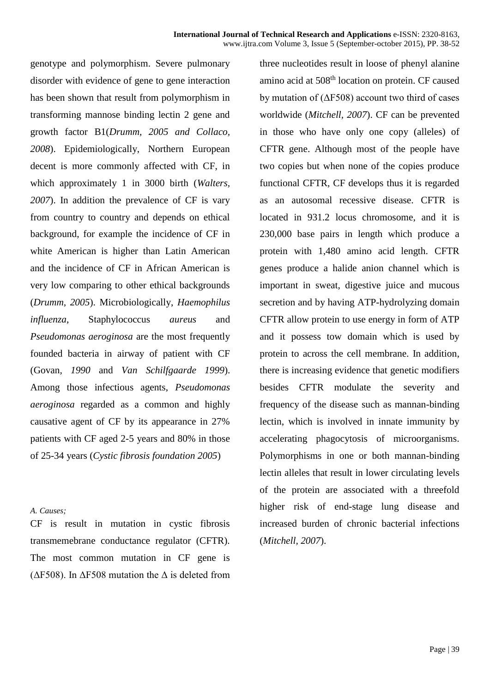genotype and polymorphism. Severe pulmonary disorder with evidence of gene to gene interaction has been shown that result from polymorphism in transforming mannose binding lectin 2 gene and growth factor B1(*Drumm, 2005 and Collaco, 2008*). Epidemiologically, Northern European decent is more commonly affected with CF, in which approximately 1 in 3000 birth (*Walters, 2007*). In addition the prevalence of CF is vary from country to country and depends on ethical background, for example the incidence of CF in white American is higher than Latin American and the incidence of CF in African American is very low comparing to other ethical backgrounds (*Drumm, 2005*). Microbiologically, *Haemophilus influenza*, Staphylococcus *aureus* and *Pseudomonas aeroginosa* are the most frequently founded bacteria in airway of patient with CF (Govan*, 1990* and *Van Schilfgaarde 1999*). Among those infectious agents, *Pseudomonas aeroginosa* regarded as a common and highly causative agent of CF by its appearance in 27% patients with CF aged 2-5 years and 80% in those of 25-34 years (*Cystic fibrosis foundation 2005*)

## *A. Causes;*

CF is result in mutation in cystic fibrosis transmemebrane conductance regulator (CFTR). The most common mutation in CF gene is (ΔF508). In ΔF508 mutation the Δ is deleted from three nucleotides result in loose of phenyl alanine amino acid at 508<sup>th</sup> location on protein. CF caused by mutation of (ΔF508) account two third of cases worldwide (*Mitchell, 2007*). CF can be prevented in those who have only one copy (alleles) of CFTR gene. Although most of the people have two copies but when none of the copies produce functional CFTR, CF develops thus it is regarded as an autosomal recessive disease. CFTR is located in 931.2 locus chromosome, and it is 230,000 base pairs in length which produce a protein with 1,480 amino acid length. CFTR genes produce a halide anion channel which is important in sweat, digestive juice and mucous secretion and by having ATP-hydrolyzing domain CFTR allow protein to use energy in form of ATP and it possess tow domain which is used by protein to across the cell membrane. In addition, there is increasing evidence that genetic modifiers besides CFTR modulate the severity and frequency of the disease such as mannan-binding lectin, which is involved in innate immunity by accelerating phagocytosis of microorganisms. Polymorphisms in one or both mannan-binding lectin alleles that result in lower circulating levels of the protein are associated with a threefold higher risk of end-stage lung disease and increased burden of chronic bacterial infections (*Mitchell, 2007*).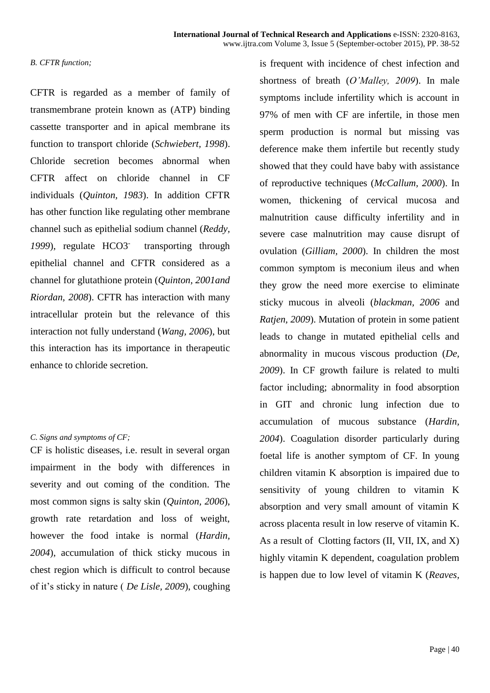#### *B. CFTR function;*

CFTR is regarded as a member of family of transmembrane protein known as (ATP) binding cassette transporter and in apical membrane its function to transport chloride (*Schwiebert, 1998*). Chloride secretion becomes abnormal when CFTR affect on chloride channel in CF individuals (*Quinton, 1983*). In addition CFTR has other function like regulating other membrane channel such as epithelial sodium channel (*Reddy, 1999*), regulate HCO3 transporting through epithelial channel and CFTR considered as a channel for glutathione protein (*Quinton, 2001and Riordan, 2008*). CFTR has interaction with many intracellular protein but the relevance of this interaction not fully understand (*Wang, 2006*), but this interaction has its importance in therapeutic enhance to chloride secretion.

## *C. Signs and symptoms of CF;*

CF is holistic diseases, i.e. result in several organ impairment in the body with differences in severity and out coming of the condition. The most common signs is salty skin (*Quinton, 2006*), growth rate retardation and loss of weight, however the food intake is normal (*Hardin, 2004*), accumulation of thick sticky mucous in chest region which is difficult to control because of it's sticky in nature ( *De Lisle, 2009*), coughing is frequent with incidence of chest infection and shortness of breath (*O'Malley, 2009*). In male symptoms include infertility which is account in 97% of men with CF are infertile, in those men sperm production is normal but missing vas deference make them infertile but recently study showed that they could have baby with assistance of reproductive techniques (*McCallum, 2000*). In women, thickening of cervical mucosa and malnutrition cause difficulty infertility and in severe case malnutrition may cause disrupt of ovulation (*Gilliam, 2000*). In children the most common symptom is meconium ileus and when they grow the need more exercise to eliminate sticky mucous in alveoli (*blackman, 2006* and *Ratjen, 2009*). Mutation of protein in some patient leads to change in mutated epithelial cells and abnormality in mucous viscous production (*De, 2009*). In CF growth failure is related to multi factor including; abnormality in food absorption in GIT and chronic lung infection due to accumulation of mucous substance (*Hardin, 2004*). Coagulation disorder particularly during foetal life is another symptom of CF. In young children vitamin K absorption is impaired due to sensitivity of young children to vitamin K absorption and very small amount of vitamin K across placenta result in low reserve of vitamin K. As a result of Clotting factors (II, VII, IX, and X) highly vitamin K dependent, coagulation problem is happen due to low level of vitamin K (*Reaves,*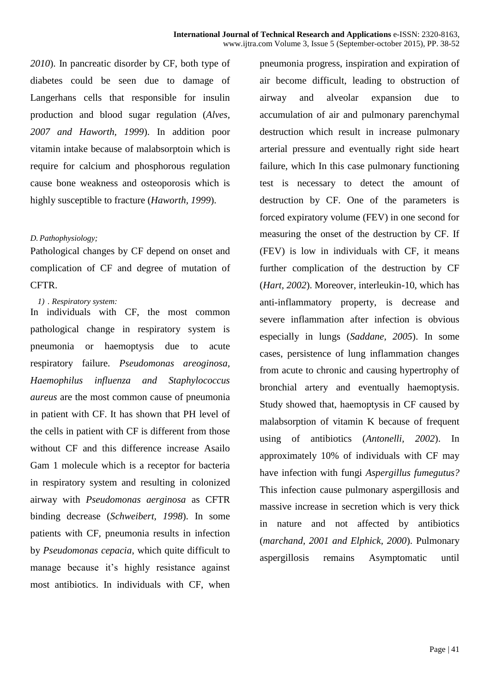*2010*). In pancreatic disorder by CF, both type of diabetes could be seen due to damage of Langerhans cells that responsible for insulin production and blood sugar regulation (*Alves, 2007 and Haworth, 1999*). In addition poor vitamin intake because of malabsorptoin which is require for calcium and phosphorous regulation cause bone weakness and osteoporosis which is highly susceptible to fracture (*Haworth, 1999*).

## *D. Pathophysiology;*

Pathological changes by CF depend on onset and complication of CF and degree of mutation of **CFTR** 

*1) . Respiratory system:*

In individuals with CF, the most common pathological change in respiratory system is pneumonia or haemoptysis due to acute respiratory failure. *Pseudomonas areoginosa, Haemophilus influenza and Staphylococcus aureus* are the most common cause of pneumonia in patient with CF. It has shown that PH level of the cells in patient with CF is different from those without CF and this difference increase Asailo Gam 1 molecule which is a receptor for bacteria in respiratory system and resulting in colonized airway with *Pseudomonas aerginosa* as CFTR binding decrease (*Schweibert, 1998*). In some patients with CF, pneumonia results in infection by *Pseudomonas cepacia*, which quite difficult to manage because it's highly resistance against most antibiotics. In individuals with CF, when

pneumonia progress, inspiration and expiration of air become difficult, leading to obstruction of airway and alveolar expansion due to accumulation of air and pulmonary parenchymal destruction which result in increase pulmonary arterial pressure and eventually right side heart failure, which In this case pulmonary functioning test is necessary to detect the amount of destruction by CF. One of the parameters is forced expiratory volume (FEV) in one second for measuring the onset of the destruction by CF. If (FEV) is low in individuals with CF, it means further complication of the destruction by CF (*Hart, 2002*). Moreover, interleukin-10, which has anti-inflammatory property, is decrease and severe inflammation after infection is obvious especially in lungs (*Saddane, 2005*). In some cases, persistence of lung inflammation changes from acute to chronic and causing hypertrophy of bronchial artery and eventually haemoptysis. Study showed that, haemoptysis in CF caused by malabsorption of vitamin K because of frequent using of antibiotics (*Antonelli, 2002*). In approximately 10% of individuals with CF may have infection with fungi *Aspergillus fumegutus?* This infection cause pulmonary aspergillosis and massive increase in secretion which is very thick in nature and not affected by antibiotics (*marchand, 2001 and Elphick, 2000*). Pulmonary aspergillosis remains Asymptomatic until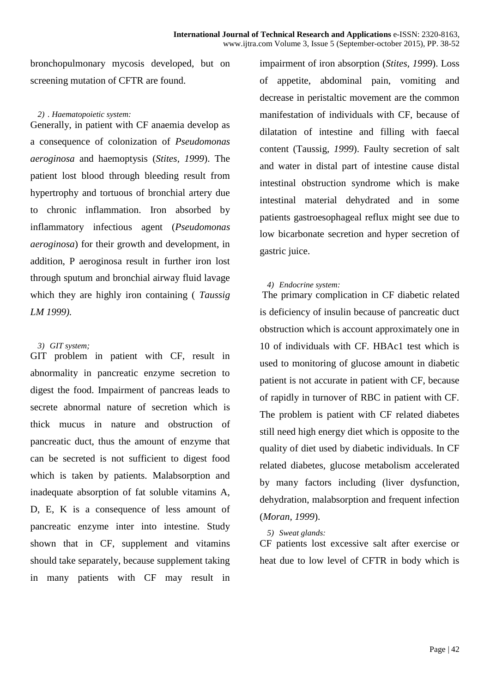bronchopulmonary mycosis developed, but on screening mutation of CFTR are found.

#### *2) . Haematopoietic system:*

Generally, in patient with CF anaemia develop as a consequence of colonization of *Pseudomonas aeroginosa* and haemoptysis (*Stites, 1999*). The patient lost blood through bleeding result from hypertrophy and tortuous of bronchial artery due to chronic inflammation. Iron absorbed by inflammatory infectious agent (*Pseudomonas aeroginosa*) for their growth and development, in addition, P aeroginosa result in further iron lost through sputum and bronchial airway fluid lavage which they are highly iron containing ( *Taussig LM 1999).*

## *3) GIT system;*

GIT problem in patient with CF, result in abnormality in pancreatic enzyme secretion to digest the food. Impairment of pancreas leads to secrete abnormal nature of secretion which is thick mucus in nature and obstruction of pancreatic duct, thus the amount of enzyme that can be secreted is not sufficient to digest food which is taken by patients. Malabsorption and inadequate absorption of fat soluble vitamins A, D, E, K is a consequence of less amount of pancreatic enzyme inter into intestine. Study shown that in CF, supplement and vitamins should take separately, because supplement taking in many patients with CF may result in impairment of iron absorption (*Stites, 1999*). Loss of appetite, abdominal pain, vomiting and decrease in peristaltic movement are the common manifestation of individuals with CF, because of dilatation of intestine and filling with faecal content (Taussig*, 1999*). Faulty secretion of salt and water in distal part of intestine cause distal intestinal obstruction syndrome which is make intestinal material dehydrated and in some patients gastroesophageal reflux might see due to low bicarbonate secretion and hyper secretion of gastric juice.

# *4) Endocrine system:*

The primary complication in CF diabetic related is deficiency of insulin because of pancreatic duct obstruction which is account approximately one in 10 of individuals with CF. HBAc1 test which is used to monitoring of glucose amount in diabetic patient is not accurate in patient with CF, because of rapidly in turnover of RBC in patient with CF. The problem is patient with CF related diabetes still need high energy diet which is opposite to the quality of diet used by diabetic individuals. In CF related diabetes, glucose metabolism accelerated by many factors including (liver dysfunction, dehydration, malabsorption and frequent infection (*Moran, 1999*).

## *5) Sweat glands:*

CF patients lost excessive salt after exercise or heat due to low level of CFTR in body which is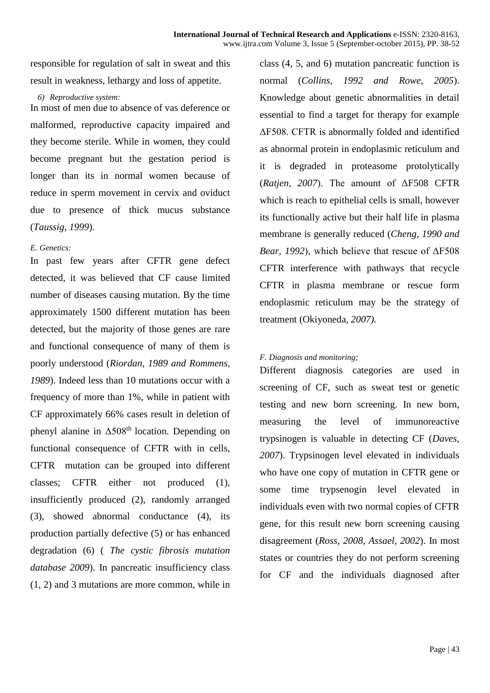responsible for regulation of salt in sweat and this result in weakness, lethargy and loss of appetite.

#### *6) Reproductive system:*

In most of men due to absence of vas deference or malformed, reproductive capacity impaired and they become sterile. While in women, they could become pregnant but the gestation period is longer than its in normal women because of reduce in sperm movement in cervix and oviduct due to presence of thick mucus substance (*Taussig, 1999*).

## *E. Genetics:*

In past few years after CFTR gene defect detected, it was believed that CF cause limited number of diseases causing mutation. By the time approximately 1500 different mutation has been detected, but the majority of those genes are rare and functional consequence of many of them is poorly understood (*Riordan, 1989 and Rommens, 1989*). Indeed less than 10 mutations occur with a frequency of more than 1%, while in patient with CF approximately 66% cases result in deletion of phenyl alanine in  $\Delta$ 508<sup>th</sup> location. Depending on functional consequence of CFTR with in cells, CFTR mutation can be grouped into different classes; CFTR either not produced (1), insufficiently produced (2), randomly arranged (3), showed abnormal conductance (4), its production partially defective (5) or has enhanced degradation (6) ( *The cystic fibrosis mutation database 2009*). In pancreatic insufficiency class (1, 2) and 3 mutations are more common, while in class (4, 5, and 6) mutation pancreatic function is normal (*Collins, 1992 and Rowe, 2005*). Knowledge about genetic abnormalities in detail essential to find a target for therapy for example ΔF508. CFTR is abnormally folded and identified as abnormal protein in endoplasmic reticulum and it is degraded in proteasome protolytically (*Ratjen, 2007*). The amount of ΔF508 CFTR which is reach to epithelial cells is small, however its functionally active but their half life in plasma membrane is generally reduced (*Cheng, 1990 and Bear, 1992*), which believe that rescue of ΔF508 CFTR interference with pathways that recycle CFTR in plasma membrane or rescue form endoplasmic reticulum may be the strategy of treatment (Okiyoneda*, 2007).* 

# *F. Diagnosis and monitoring;*

Different diagnosis categories are used in screening of CF, such as sweat test or genetic testing and new born screening. In new born, measuring the level of immunoreactive trypsinogen is valuable in detecting CF (*Daves, 2007*). Trypsinogen level elevated in individuals who have one copy of mutation in CFTR gene or some time trypsenogin level elevated in individuals even with two normal copies of CFTR gene, for this result new born screening causing disagreement (*Ross, 2008, Assael, 2002*). In most states or countries they do not perform screening for CF and the individuals diagnosed after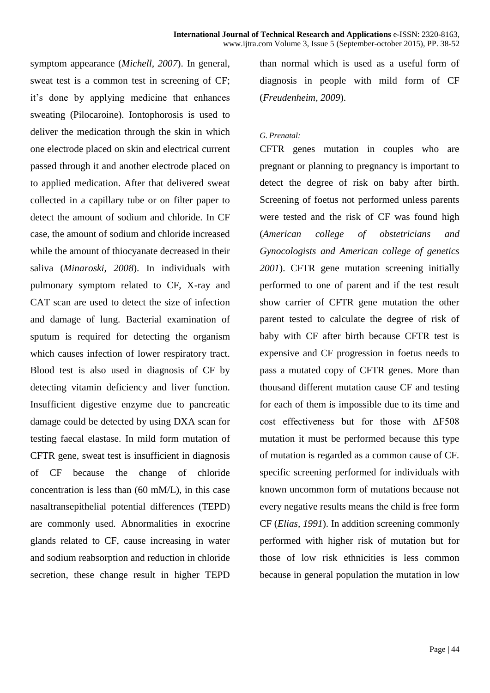symptom appearance (*Michell, 2007*). In general, sweat test is a common test in screening of CF; it's done by applying medicine that enhances sweating (Pilocaroine). Iontophorosis is used to deliver the medication through the skin in which one electrode placed on skin and electrical current passed through it and another electrode placed on to applied medication. After that delivered sweat collected in a capillary tube or on filter paper to detect the amount of sodium and chloride. In CF case, the amount of sodium and chloride increased while the amount of thiocyanate decreased in their saliva (*Minaroski, 2008*). In individuals with pulmonary symptom related to CF, X-ray and CAT scan are used to detect the size of infection and damage of lung. Bacterial examination of sputum is required for detecting the organism which causes infection of lower respiratory tract. Blood test is also used in diagnosis of CF by detecting vitamin deficiency and liver function. Insufficient digestive enzyme due to pancreatic damage could be detected by using DXA scan for testing faecal elastase. In mild form mutation of CFTR gene, sweat test is insufficient in diagnosis of CF because the change of chloride concentration is less than (60 mM/L), in this case nasaltransepithelial potential differences (TEPD) are commonly used. Abnormalities in exocrine glands related to CF, cause increasing in water and sodium reabsorption and reduction in chloride secretion, these change result in higher TEPD

than normal which is used as a useful form of diagnosis in people with mild form of CF (*Freudenheim, 2009*).

## *G. Prenatal:*

CFTR genes mutation in couples who are pregnant or planning to pregnancy is important to detect the degree of risk on baby after birth. Screening of foetus not performed unless parents were tested and the risk of CF was found high (*American college of obstetricians and Gynocologists and American college of genetics 2001*). CFTR gene mutation screening initially performed to one of parent and if the test result show carrier of CFTR gene mutation the other parent tested to calculate the degree of risk of baby with CF after birth because CFTR test is expensive and CF progression in foetus needs to pass a mutated copy of CFTR genes. More than thousand different mutation cause CF and testing for each of them is impossible due to its time and cost effectiveness but for those with ΔF508 mutation it must be performed because this type of mutation is regarded as a common cause of CF. specific screening performed for individuals with known uncommon form of mutations because not every negative results means the child is free form CF (*Elias, 1991*). In addition screening commonly performed with higher risk of mutation but for those of low risk ethnicities is less common because in general population the mutation in low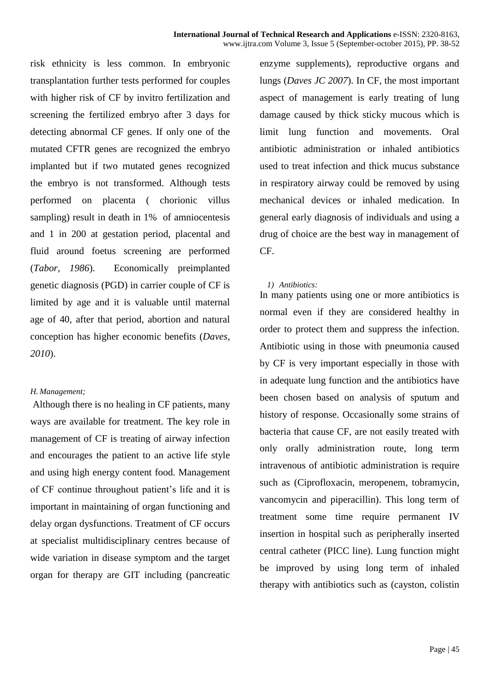risk ethnicity is less common. In embryonic transplantation further tests performed for couples with higher risk of CF by invitro fertilization and screening the fertilized embryo after 3 days for detecting abnormal CF genes. If only one of the mutated CFTR genes are recognized the embryo implanted but if two mutated genes recognized the embryo is not transformed. Although tests performed on placenta ( chorionic villus sampling) result in death in 1% of amniocentesis and 1 in 200 at gestation period, placental and fluid around foetus screening are performed (*Tabor, 1986*). Economically preimplanted genetic diagnosis (PGD) in carrier couple of CF is limited by age and it is valuable until maternal age of 40, after that period, abortion and natural conception has higher economic benefits (*Daves, 2010*).

# *H. Management;*

Although there is no healing in CF patients, many ways are available for treatment. The key role in management of CF is treating of airway infection and encourages the patient to an active life style and using high energy content food. Management of CF continue throughout patient's life and it is important in maintaining of organ functioning and delay organ dysfunctions. Treatment of CF occurs at specialist multidisciplinary centres because of wide variation in disease symptom and the target organ for therapy are GIT including (pancreatic

enzyme supplements), reproductive organs and lungs (*Daves JC 2007*). In CF, the most important aspect of management is early treating of lung damage caused by thick sticky mucous which is limit lung function and movements. Oral antibiotic administration or inhaled antibiotics used to treat infection and thick mucus substance in respiratory airway could be removed by using mechanical devices or inhaled medication. In general early diagnosis of individuals and using a drug of choice are the best way in management of CF.

# *1) Antibiotics:*

In many patients using one or more antibiotics is normal even if they are considered healthy in order to protect them and suppress the infection. Antibiotic using in those with pneumonia caused by CF is very important especially in those with in adequate lung function and the antibiotics have been chosen based on analysis of sputum and history of response. Occasionally some strains of bacteria that cause CF, are not easily treated with only orally administration route, long term intravenous of antibiotic administration is require such as (Ciprofloxacin, meropenem, tobramycin, vancomycin and piperacillin). This long term of treatment some time require permanent IV insertion in hospital such as peripherally inserted central catheter (PICC line). Lung function might be improved by using long term of inhaled therapy with antibiotics such as (cayston, colistin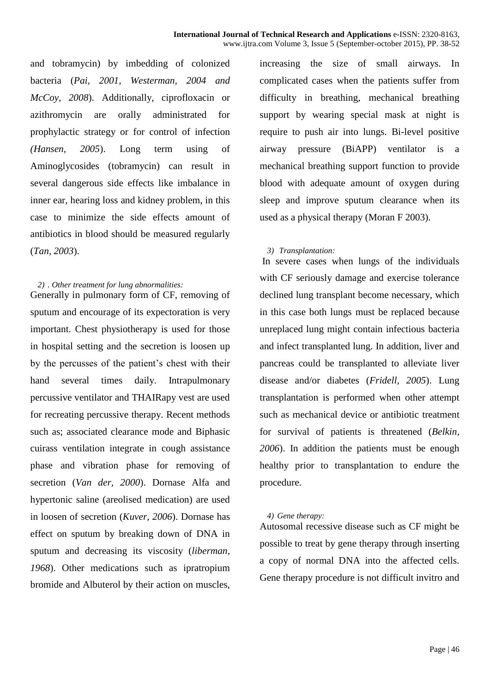and tobramycin) by imbedding of colonized bacteria (*Pai, 2001, Westerman, 2004 and McCoy, 2008*). Additionally, ciprofloxacin or azithromycin are orally administrated for prophylactic strategy or for control of infection *(Hansen, 2005*). Long term using of Aminoglycosides (tobramycin) can result in several dangerous side effects like imbalance in inner ear, hearing loss and kidney problem, in this case to minimize the side effects amount of antibiotics in blood should be measured regularly (*Tan, 2003*).

## *2) . Other treatment for lung abnormalities:*

Generally in pulmonary form of CF, removing of sputum and encourage of its expectoration is very important. Chest physiotherapy is used for those in hospital setting and the secretion is loosen up by the percusses of the patient's chest with their hand several times daily. Intrapulmonary percussive ventilator and THAIRapy vest are used for recreating percussive therapy. Recent methods such as; associated clearance mode and Biphasic cuirass ventilation integrate in cough assistance phase and vibration phase for removing of secretion (*Van der, 2000*). Dornase Alfa and hypertonic saline (areolised medication) are used in loosen of secretion (*Kuver, 2006*). Dornase has effect on sputum by breaking down of DNA in sputum and decreasing its viscosity (*liberman, 1968*). Other medications such as ipratropium bromide and Albuterol by their action on muscles,

increasing the size of small airways. In complicated cases when the patients suffer from difficulty in breathing, mechanical breathing support by wearing special mask at night is require to push air into lungs. Bi-level positive airway pressure (BiAPP) ventilator is a mechanical breathing support function to provide blood with adequate amount of oxygen during sleep and improve sputum clearance when its used as a physical therapy (Moran F 2003).

#### *3) Transplantation:*

In severe cases when lungs of the individuals with CF seriously damage and exercise tolerance declined lung transplant become necessary, which in this case both lungs must be replaced because unreplaced lung might contain infectious bacteria and infect transplanted lung. In addition, liver and pancreas could be transplanted to alleviate liver disease and/or diabetes (*Fridell, 2005*). Lung transplantation is performed when other attempt such as mechanical device or antibiotic treatment for survival of patients is threatened (*Belkin, 2006*). In addition the patients must be enough healthy prior to transplantation to endure the procedure.

## *4) Gene therapy:*

Autosomal recessive disease such as CF might be possible to treat by gene therapy through inserting a copy of normal DNA into the affected cells. Gene therapy procedure is not difficult invitro and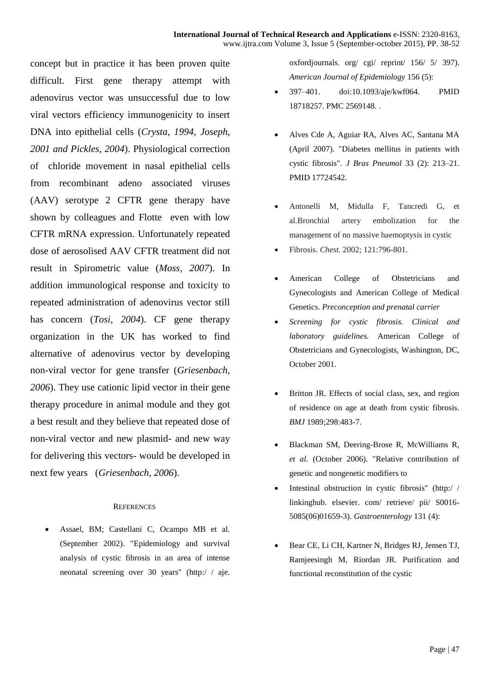concept but in practice it has been proven quite difficult. First gene therapy attempt with adenovirus vector was unsuccessful due to low viral vectors efficiency immunogenicity to insert DNA into epithelial cells (*Crysta, 1994, Joseph, 2001 and Pickles, 2004*). Physiological correction of chloride movement in nasal epithelial cells from recombinant adeno associated viruses (AAV) serotype 2 CFTR gene therapy have shown by colleagues and Flotte even with low CFTR mRNA expression. Unfortunately repeated dose of aerosolised AAV CFTR treatment did not result in Spirometric value (*Moss, 2007*). In addition immunological response and toxicity to repeated administration of adenovirus vector still has concern (*Tosi, 2004*). CF gene therapy organization in the UK has worked to find alternative of adenovirus vector by developing non-viral vector for gene transfer (*Griesenbach, 2006*). They use cationic lipid vector in their gene therapy procedure in animal module and they got a best result and they believe that repeated dose of non-viral vector and new plasmid- and new way for delivering this vectors- would be developed in next few years (*Griesenbach, 2006*).

#### **REFERENCES**

 Assael, BM; Castellani C, Ocampo MB et al. (September 2002). "Epidemiology and survival analysis of cystic fibrosis in an area of intense neonatal screening over 30 years" (http:/ / aje. oxfordjournals. org/ cgi/ reprint/ 156/ 5/ 397). *American Journal of Epidemiology* 156 (5):

- 397–401. doi:10.1093/aje/kwf064. PMID 18718257. PMC 2569148. .
- Alves Cde A, Aguiar RA, Alves AC, Santana MA (April 2007). "Diabetes mellitus in patients with cystic fibrosis". *J Bras Pneumol* 33 (2): 213–21. PMID 17724542.
- Antonelli M, Midulla F, Tancredi G, et al.Bronchial artery embolization for the management of no massive haemoptysis in cystic
- Fibrosis. *Chest.* 2002; 121:796-801.
- American College of Obstetricians and Gynecologists and American College of Medical Genetics. *Preconception and prenatal carrier*
- *Screening for cystic fibrosis. Clinical and laboratory guidelines.* American College of Obstetricians and Gynecologists, Washington, DC, October 2001.
- Britton JR. Effects of social class, sex, and region of residence on age at death from cystic fibrosis. *BMJ* 1989;298:483-7.
- Blackman SM, Deering-Brose R, McWilliams R, *et al.* (October 2006). "Relative contribution of genetic and nongenetic modifiers to
- Intestinal obstruction in cystic fibrosis" (http:/ / linkinghub. elsevier. com/ retrieve/ pii/ S0016- 5085(06)01659-3). *Gastroenterology* 131 (4):
- Bear CE, Li CH, Kartner N, Bridges RJ, Jensen TJ, Ramjeesingh M, Riordan JR. Purification and functional reconstitution of the cystic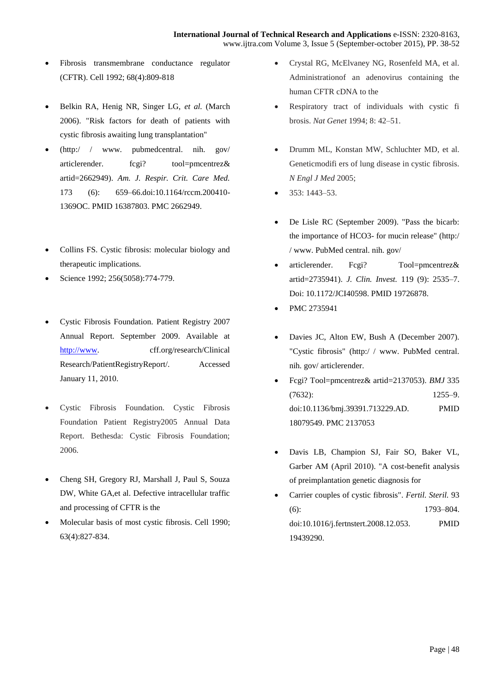- Fibrosis transmembrane conductance regulator (CFTR). Cell 1992; 68(4):809-818
- Belkin RA, Henig NR, Singer LG, *et al.* (March 2006). "Risk factors for death of patients with cystic fibrosis awaiting lung transplantation"
- (http:/ / www. pubmedcentral. nih. gov/ articlerender. fcgi? tool=pmcentrez& artid=2662949). *Am. J. Respir. Crit. Care Med.*  173 (6): 659–66.doi:10.1164/rccm.200410- 1369OC. PMID 16387803. PMC 2662949.
- Collins FS. Cystic fibrosis: molecular biology and therapeutic implications.
- Science 1992; 256(5058):774-779.
- Cystic Fibrosis Foundation. Patient Registry 2007 Annual Report. September 2009. Available at [http://www.](http://www/) cff.org/research/Clinical Research/PatientRegistryReport/. Accessed January 11, 2010.
- Cystic Fibrosis Foundation. Cystic Fibrosis Foundation Patient Registry2005 Annual Data Report. Bethesda: Cystic Fibrosis Foundation; 2006.
- Cheng SH, Gregory RJ, Marshall J, Paul S, Souza DW, White GA,et al. Defective intracellular traffic and processing of CFTR is the
- Molecular basis of most cystic fibrosis. Cell 1990; 63(4):827-834.
- Crystal RG, McElvaney NG, Rosenfeld MA, et al. Administrationof an adenovirus containing the human CFTR cDNA to the
- Respiratory tract of individuals with cystic fi brosis. *Nat Genet* 1994; 8: 42–51.
- Drumm ML, Konstan MW, Schluchter MD, et al. Geneticmodifi ers of lung disease in cystic fibrosis. *N Engl J Med* 2005;
- 353: 1443–53.
- De Lisle RC (September 2009). "Pass the bicarb: the importance of HCO3- for mucin release" (http:/ / www. PubMed central. nih. gov/
- articlerender. Fcgi? Tool=pmcentrez& artid=2735941). *J. Clin. Invest.* 119 (9): 2535–7. Doi: 10.1172/JCI40598. PMID 19726878.
- PMC 2735941
- Davies JC, Alton EW, Bush A (December 2007). "Cystic fibrosis" (http:/ / www. PubMed central. nih. gov/ articlerender.
- Fcgi? Tool=pmcentrez& artid=2137053). *BMJ* 335 (7632): 1255–9. doi:10.1136/bmj.39391.713229.AD. PMID 18079549. PMC 2137053
- Davis LB, Champion SJ, Fair SO, Baker VL, Garber AM (April 2010). "A cost-benefit analysis of preimplantation genetic diagnosis for
- Carrier couples of cystic fibrosis". *Fertil. Steril.* 93 (6): 1793–804. doi:10.1016/j.fertnstert.2008.12.053. PMID 19439290.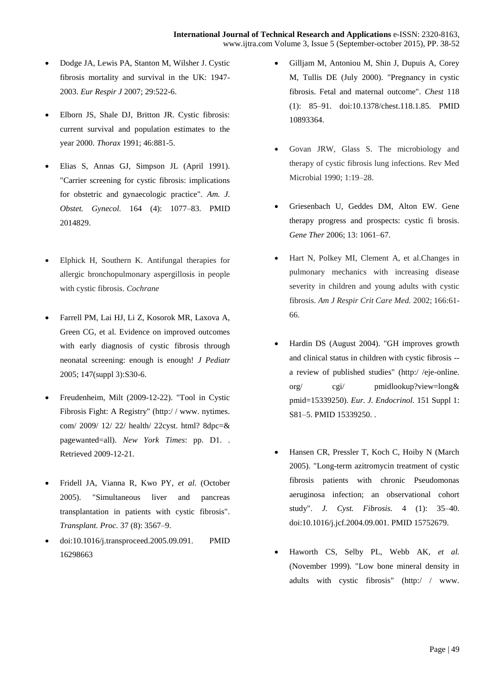- Dodge JA, Lewis PA, Stanton M, Wilsher J. Cystic fibrosis mortality and survival in the UK: 1947- 2003. *Eur Respir J* 2007; 29:522-6.
- Elborn JS, Shale DJ, Britton JR. Cystic fibrosis: current survival and population estimates to the year 2000. *Thorax* 1991; 46:881-5.
- Elias S, Annas GJ, Simpson JL (April 1991). "Carrier screening for cystic fibrosis: implications for obstetric and gynaecologic practice". *Am. J. Obstet. Gynecol.* 164 (4): 1077–83. PMID 2014829.
- Elphick H, Southern K. Antifungal therapies for allergic bronchopulmonary aspergillosis in people with cystic fibrosis. *Cochrane*
- Farrell PM, Lai HJ, Li Z, Kosorok MR, Laxova A, Green CG, et al. Evidence on improved outcomes with early diagnosis of cystic fibrosis through neonatal screening: enough is enough! *J Pediatr*  2005; 147(suppl 3):S30-6.
- Freudenheim, Milt (2009-12-22). "Tool in Cystic Fibrosis Fight: A Registry" (http:/ / www. nytimes. com/ 2009/ 12/ 22/ health/ 22cyst. html? 8dpc=& pagewanted=all). *New York Times*: pp. D1. . Retrieved 2009-12-21.
- Fridell JA, Vianna R, Kwo PY, *et al.* (October 2005). "Simultaneous liver and pancreas transplantation in patients with cystic fibrosis". *Transplant. Proc.* 37 (8): 3567–9.
- doi:10.1016/j.transproceed.2005.09.091. PMID 16298663
- Gilljam M, Antoniou M, Shin J, Dupuis A, Corey M, Tullis DE (July 2000). "Pregnancy in cystic fibrosis. Fetal and maternal outcome". *Chest* 118 (1): 85–91. doi:10.1378/chest.118.1.85. PMID 10893364.
- Govan JRW, Glass S. The microbiology and therapy of cystic fibrosis lung infections. Rev Med Microbial 1990; 1:19–28.
- Griesenbach U, Geddes DM, Alton EW. Gene therapy progress and prospects: cystic fi brosis. *Gene Ther* 2006; 13: 1061–67.
- Hart N, Polkey MI, Clement A, et al.Changes in pulmonary mechanics with increasing disease severity in children and young adults with cystic fibrosis. *Am J Respir Crit Care Med.* 2002; 166:61- 66.
- Hardin DS (August 2004). "GH improves growth and clinical status in children with cystic fibrosis - a review of published studies" (http:/ /eje-online. org/ cgi/ pmidlookup?view=long& pmid=15339250). *Eur. J. Endocrinol.* 151 Suppl 1: S81–5. PMID 15339250. .
- Hansen CR, Pressler T, Koch C, Hoiby N (March 2005). "Long-term azitromycin treatment of cystic fibrosis patients with chronic Pseudomonas aeruginosa infection; an observational cohort study". *J. Cyst. Fibrosis.* 4 (1): 35–40. doi:10.1016/j.jcf.2004.09.001. PMID 15752679.
- Haworth CS, Selby PL, Webb AK, *et al.*  (November 1999). "Low bone mineral density in adults with cystic fibrosis" (http:/ / www.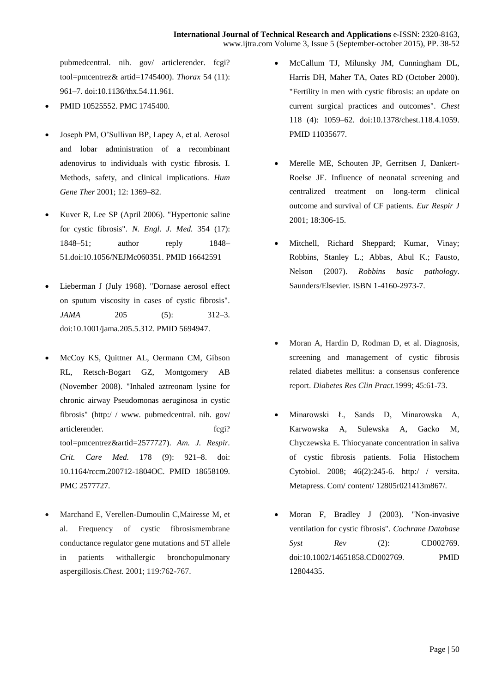pubmedcentral. nih. gov/ articlerender. fcgi? tool=pmcentrez& artid=1745400). *Thorax* 54 (11): 961–7. doi:10.1136/thx.54.11.961.

- PMID 10525552. PMC 1745400.
- Joseph PM, O'Sullivan BP, Lapey A, et al. Aerosol and lobar administration of a recombinant adenovirus to individuals with cystic fibrosis. I. Methods, safety, and clinical implications. *Hum Gene Ther* 2001; 12: 1369–82.
- Kuver R, Lee SP (April 2006). "Hypertonic saline for cystic fibrosis". *N. Engl. J. Med.* 354 (17): 1848–51; author reply 1848– 51.doi:10.1056/NEJMc060351. PMID 16642591
- Lieberman J (July 1968). "Dornase aerosol effect on sputum viscosity in cases of cystic fibrosis". *JAMA* 205 (5): 312–3. doi:10.1001/jama.205.5.312. PMID 5694947.
- McCoy KS, Quittner AL, Oermann CM, Gibson RL, Retsch-Bogart GZ, Montgomery AB (November 2008). "Inhaled aztreonam lysine for chronic airway Pseudomonas aeruginosa in cystic fibrosis" (http:/ / www. pubmedcentral. nih. gov/ articlerender. fcgi? tool=pmcentrez&artid=2577727). *Am. J. Respir. Crit. Care Med.* 178 (9): 921–8. doi: 10.1164/rccm.200712-1804OC. PMID 18658109. PMC 2577727.
- Marchand E, Verellen-Dumoulin C,Mairesse M, et al. Frequency of cystic fibrosismembrane conductance regulator gene mutations and 5T allele in patients withallergic bronchopulmonary aspergillosis.*Chest.* 2001; 119:762-767.
- McCallum TJ, Milunsky JM, Cunningham DL, Harris DH, Maher TA, Oates RD (October 2000). "Fertility in men with cystic fibrosis: an update on current surgical practices and outcomes". *Chest*  118 (4): 1059–62. doi:10.1378/chest.118.4.1059. PMID 11035677.
- Merelle ME, Schouten JP, Gerritsen J, Dankert-Roelse JE. Influence of neonatal screening and centralized treatment on long-term clinical outcome and survival of CF patients. *Eur Respir J*  2001; 18:306-15.
- Mitchell, Richard Sheppard; Kumar, Vinay; Robbins, Stanley L.; Abbas, Abul K.; Fausto, Nelson (2007). *Robbins basic pathology*. Saunders/Elsevier. ISBN 1-4160-2973-7.
- Moran A, Hardin D, Rodman D, et al. Diagnosis, screening and management of cystic fibrosis related diabetes mellitus: a consensus conference report. *Diabetes Res Clin Pract.*1999; 45:61-73.
- Minarowski Ł, Sands D, Minarowska A, Karwowska A, Sulewska A, Gacko M, Chyczewska E. Thiocyanate concentration in saliva of cystic fibrosis patients. Folia Histochem Cytobiol. 2008; 46(2):245-6. http:/ / versita. Metapress. Com/ content/ 12805r021413m867/.
- Moran F, Bradley J (2003). "Non-invasive ventilation for cystic fibrosis". *Cochrane Database Syst Rev* (2): CD002769. doi:10.1002/14651858.CD002769. PMID 12804435.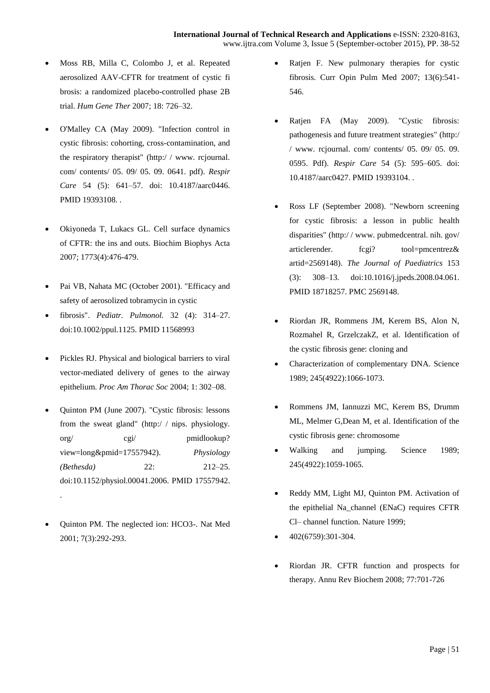- Moss RB, Milla C, Colombo J, et al. Repeated aerosolized AAV-CFTR for treatment of cystic fi brosis: a randomized placebo-controlled phase 2B trial. *Hum Gene Ther* 2007; 18: 726–32.
- O'Malley CA (May 2009). "Infection control in cystic fibrosis: cohorting, cross-contamination, and the respiratory therapist" (http:/ / www. rcjournal. com/ contents/ 05. 09/ 05. 09. 0641. pdf). *Respir Care* 54 (5): 641–57. doi: 10.4187/aarc0446. PMID 19393108. .
- Okiyoneda T, Lukacs GL. Cell surface dynamics of CFTR: the ins and outs. Biochim Biophys Acta 2007; 1773(4):476-479.
- Pai VB, Nahata MC (October 2001). "Efficacy and safety of aerosolized tobramycin in cystic
- fibrosis". *Pediatr. Pulmonol.* 32 (4): 314–27. doi:10.1002/ppul.1125. PMID 11568993
- Pickles RJ. Physical and biological barriers to viral vector-mediated delivery of genes to the airway epithelium. *Proc Am Thorac Soc* 2004; 1: 302–08.
- Quinton PM (June 2007). "Cystic fibrosis: lessons from the sweat gland" (http:/ / nips. physiology. org/ cgi/ pmidlookup? view=long&pmid=17557942). *Physiology (Bethesda)* 22: 212–25. doi:10.1152/physiol.00041.2006. PMID 17557942.
- Quinton PM. The neglected ion: HCO3-. Nat Med 2001; 7(3):292-293.

.

- Ratjen F. New pulmonary therapies for cystic fibrosis. Curr Opin Pulm Med 2007; 13(6):541- 546.
- Ratjen FA (May 2009). "Cystic fibrosis: pathogenesis and future treatment strategies" (http:/ / www. rcjournal. com/ contents/ 05. 09/ 05. 09. 0595. Pdf). *Respir Care* 54 (5): 595–605. doi: 10.4187/aarc0427. PMID 19393104. .
- Ross LF (September 2008). "Newborn screening for cystic fibrosis: a lesson in public health disparities" (http:/ / www. pubmedcentral. nih. gov/ articlerender. fcgi? tool=pmcentrez& artid=2569148). *The Journal of Paediatrics* 153 (3): 308–13. doi:10.1016/j.jpeds.2008.04.061. PMID 18718257. PMC 2569148.
- Riordan JR, Rommens JM, Kerem BS, Alon N, Rozmahel R, GrzelczakZ, et al. Identification of the cystic fibrosis gene: cloning and
- Characterization of complementary DNA. Science 1989; 245(4922):1066-1073.
- Rommens JM, Iannuzzi MC, Kerem BS, Drumm ML, Melmer G,Dean M, et al. Identification of the cystic fibrosis gene: chromosome
- Walking and jumping. Science 1989; 245(4922):1059-1065.
- Reddy MM, Light MJ, Quinton PM. Activation of the epithelial Na\_channel (ENaC) requires CFTR Cl– channel function. Nature 1999;
- 402(6759):301-304.
- Riordan JR. CFTR function and prospects for therapy. Annu Rev Biochem 2008; 77:701-726